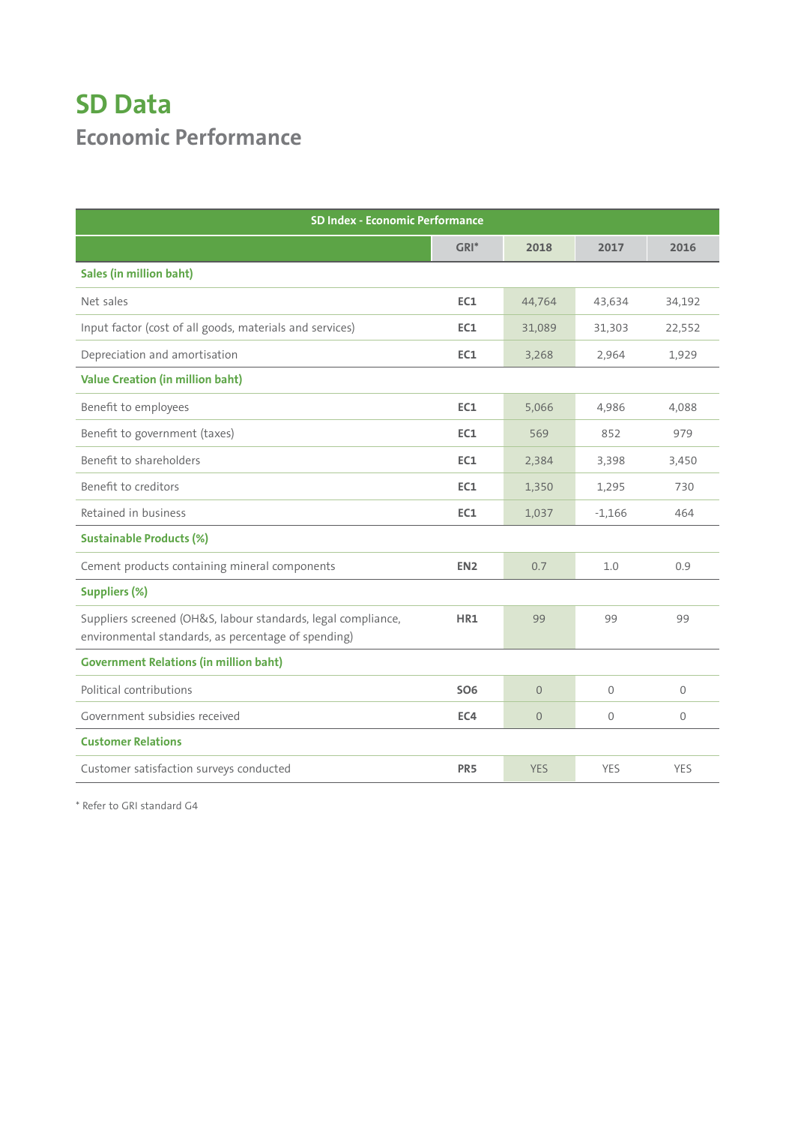## **SD Data Economic Performance**

| <b>SD Index - Economic Performance</b>                                                                               |                 |                |                |              |
|----------------------------------------------------------------------------------------------------------------------|-----------------|----------------|----------------|--------------|
|                                                                                                                      | $GRI*$          | 2018           | 2017           | 2016         |
| <b>Sales (in million baht)</b>                                                                                       |                 |                |                |              |
| Net sales                                                                                                            | EC1             | 44,764         | 43,634         | 34,192       |
| Input factor (cost of all goods, materials and services)                                                             | EC1             | 31,089         | 31,303         | 22,552       |
| Depreciation and amortisation                                                                                        | EC1             | 3,268          | 2,964          | 1,929        |
| <b>Value Creation (in million baht)</b>                                                                              |                 |                |                |              |
| Benefit to employees                                                                                                 | EC1             | 5,066          | 4,986          | 4,088        |
| Benefit to government (taxes)                                                                                        | EC1             | 569            | 852            | 979          |
| Benefit to shareholders                                                                                              | EC1             | 2,384          | 3,398          | 3,450        |
| Benefit to creditors                                                                                                 | EC1             | 1,350          | 1,295          | 730          |
| Retained in business                                                                                                 | EC1             | 1,037          | $-1,166$       | 464          |
| <b>Sustainable Products (%)</b>                                                                                      |                 |                |                |              |
| Cement products containing mineral components                                                                        | EN <sub>2</sub> | 0.7            | 1.0            | 0.9          |
| <b>Suppliers (%)</b>                                                                                                 |                 |                |                |              |
| Suppliers screened (OH&S, labour standards, legal compliance,<br>environmental standards, as percentage of spending) | HR1             | 99             | 99             | 99           |
| <b>Government Relations (in million baht)</b>                                                                        |                 |                |                |              |
| Political contributions                                                                                              | <b>SO6</b>      | $\Omega$       | $\overline{0}$ | $\mathbf{0}$ |
| Government subsidies received                                                                                        | EC4             | $\overline{0}$ | 0              | $\mathbf{0}$ |
| <b>Customer Relations</b>                                                                                            |                 |                |                |              |
| Customer satisfaction surveys conducted                                                                              | PR <sub>5</sub> | <b>YES</b>     | <b>YES</b>     | <b>YES</b>   |

\* Refer to GRI standard G4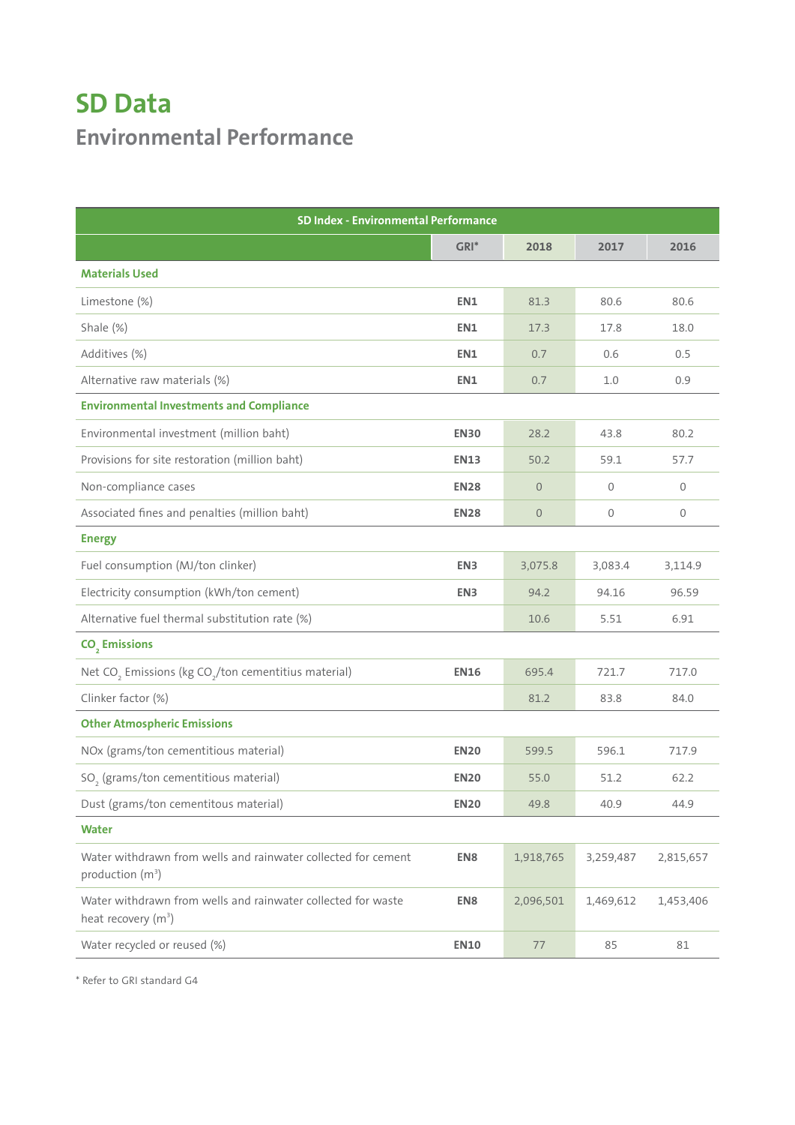## **SD Data Environmental Performance**

| <b>SD Index - Environmental Performance</b>                                                     |                 |                  |           |           |
|-------------------------------------------------------------------------------------------------|-----------------|------------------|-----------|-----------|
|                                                                                                 | $GRI^*$         | 2018             | 2017      | 2016      |
| <b>Materials Used</b>                                                                           |                 |                  |           |           |
| Limestone (%)                                                                                   | EN1             | 81.3             | 80.6      | 80.6      |
| Shale (%)                                                                                       | EN1             | 17.3             | 17.8      | 18.0      |
| Additives (%)                                                                                   | EN1             | 0.7              | 0.6       | 0.5       |
| Alternative raw materials (%)                                                                   | EN1             | 0.7              | 1.0       | 0.9       |
| <b>Environmental Investments and Compliance</b>                                                 |                 |                  |           |           |
| Environmental investment (million baht)                                                         | <b>EN30</b>     | 28.2             | 43.8      | 80.2      |
| Provisions for site restoration (million baht)                                                  | <b>EN13</b>     | 50.2             | 59.1      | 57.7      |
| Non-compliance cases                                                                            | <b>EN28</b>     | $\overline{0}$   | 0         | 0         |
| Associated fines and penalties (million baht)                                                   | <b>EN28</b>     | $\boldsymbol{0}$ | 0         | 0         |
| <b>Energy</b>                                                                                   |                 |                  |           |           |
| Fuel consumption (MJ/ton clinker)                                                               | EN3             | 3,075.8          | 3,083.4   | 3,114.9   |
| Electricity consumption (kWh/ton cement)                                                        | EN <sub>3</sub> | 94.2             | 94.16     | 96.59     |
| Alternative fuel thermal substitution rate (%)                                                  |                 | 10.6             | 5.51      | 6.91      |
| CO <sub>2</sub> Emissions                                                                       |                 |                  |           |           |
| Net CO <sub>2</sub> Emissions (kg CO <sub>2</sub> /ton cementitius material)                    | <b>EN16</b>     | 695.4            | 721.7     | 717.0     |
| Clinker factor (%)                                                                              |                 | 81.2             | 83.8      | 84.0      |
| <b>Other Atmospheric Emissions</b>                                                              |                 |                  |           |           |
| NOx (grams/ton cementitious material)                                                           | <b>EN20</b>     | 599.5            | 596.1     | 717.9     |
| SO <sub>2</sub> (grams/ton cementitious material)                                               | <b>EN20</b>     | 55.0             | 51.2      | 62.2      |
| Dust (grams/ton cementitous material)                                                           | <b>EN20</b>     | 49.8             | 40.9      | 44.9      |
| <b>Water</b>                                                                                    |                 |                  |           |           |
| Water withdrawn from wells and rainwater collected for cement<br>production (m <sup>3</sup> )   | EN8             | 1,918,765        | 3,259,487 | 2,815,657 |
| Water withdrawn from wells and rainwater collected for waste<br>heat recovery (m <sup>3</sup> ) | EN8             | 2,096,501        | 1,469,612 | 1,453,406 |
| Water recycled or reused (%)                                                                    | <b>EN10</b>     | 77               | 85        | 81        |

\* Refer to GRI standard G4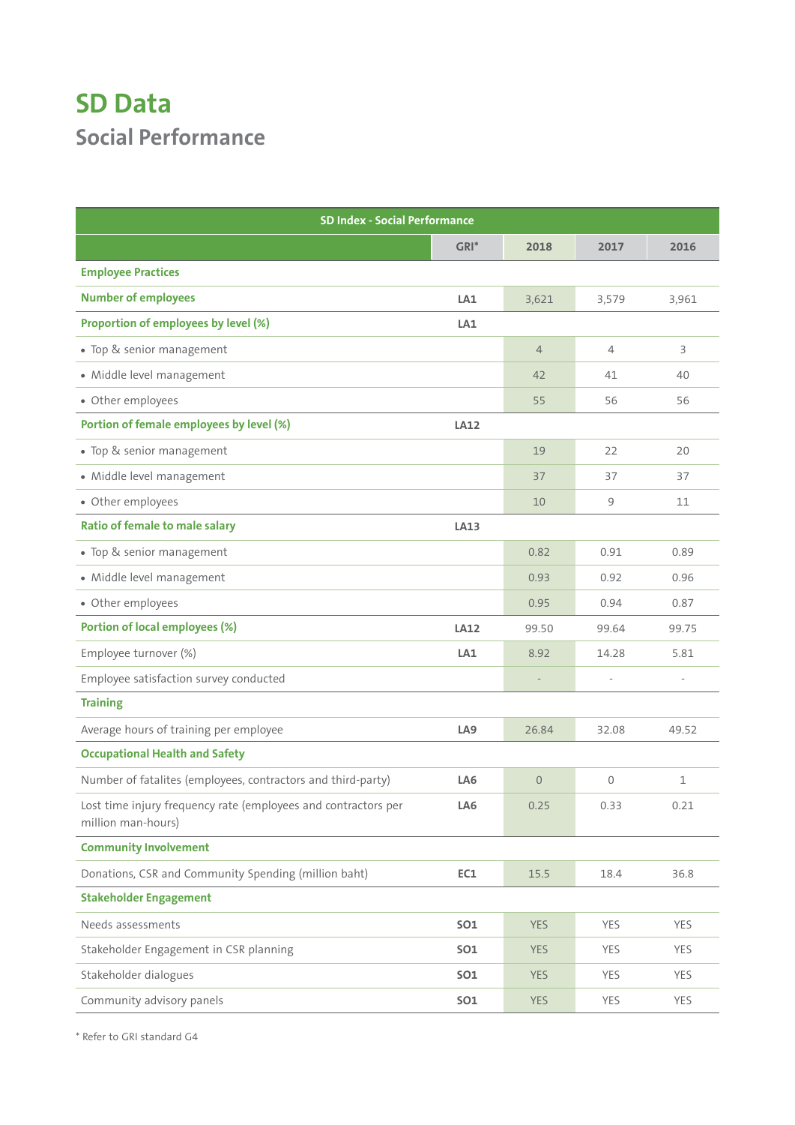## **SD Data Social Performance**

| <b>SD Index - Social Performance</b>                                                 |                 |                |            |       |  |
|--------------------------------------------------------------------------------------|-----------------|----------------|------------|-------|--|
|                                                                                      | $GRI*$          | 2018           | 2017       | 2016  |  |
| <b>Employee Practices</b>                                                            |                 |                |            |       |  |
| <b>Number of employees</b>                                                           | LA1             | 3,621          | 3,579      | 3,961 |  |
| Proportion of employees by level (%)                                                 | LA <sub>1</sub> |                |            |       |  |
| • Top & senior management                                                            |                 | $\overline{4}$ | 4          | 3     |  |
| · Middle level management                                                            |                 | 42             | 41         | 40    |  |
| • Other employees                                                                    |                 | 55             | 56         | 56    |  |
| Portion of female employees by level (%)                                             | LA12            |                |            |       |  |
| • Top & senior management                                                            |                 | 19             | 22         | 20    |  |
| · Middle level management                                                            |                 | 37             | 37         | 37    |  |
| • Other employees                                                                    |                 | 10             | 9          | 11    |  |
| <b>Ratio of female to male salary</b>                                                | <b>LA13</b>     |                |            |       |  |
| • Top & senior management                                                            |                 | 0.82           | 0.91       | 0.89  |  |
| · Middle level management                                                            |                 | 0.93           | 0.92       | 0.96  |  |
| • Other employees                                                                    |                 | 0.95           | 0.94       | 0.87  |  |
| Portion of local employees (%)                                                       | <b>LA12</b>     | 99.50          | 99.64      | 99.75 |  |
| Employee turnover (%)                                                                | LA <sub>1</sub> | 8.92           | 14.28      | 5.81  |  |
| Employee satisfaction survey conducted                                               |                 |                |            |       |  |
| <b>Training</b>                                                                      |                 |                |            |       |  |
| Average hours of training per employee                                               | LA <sub>9</sub> | 26.84          | 32.08      | 49.52 |  |
| <b>Occupational Health and Safety</b>                                                |                 |                |            |       |  |
| Number of fatalites (employees, contractors and third-party)                         | LA <sub>6</sub> | $\Omega$       | 0          | 1     |  |
| Lost time injury frequency rate (employees and contractors per<br>million man-hours) | LA6             | 0.25           | 0.33       | 0.21  |  |
| <b>Community Involvement</b>                                                         |                 |                |            |       |  |
| Donations, CSR and Community Spending (million baht)                                 | EC1             | 15.5           | 18.4       | 36.8  |  |
| <b>Stakeholder Engagement</b>                                                        |                 |                |            |       |  |
| Needs assessments                                                                    | <b>SO1</b>      | <b>YES</b>     | YES        | YES   |  |
| Stakeholder Engagement in CSR planning                                               | <b>SO1</b>      | <b>YES</b>     | <b>YES</b> | YES   |  |
| Stakeholder dialogues                                                                | <b>SO1</b>      | <b>YES</b>     | <b>YES</b> | YES   |  |
| Community advisory panels                                                            | <b>SO1</b>      | <b>YES</b>     | YES        | YES   |  |

\* Refer to GRI standard G4